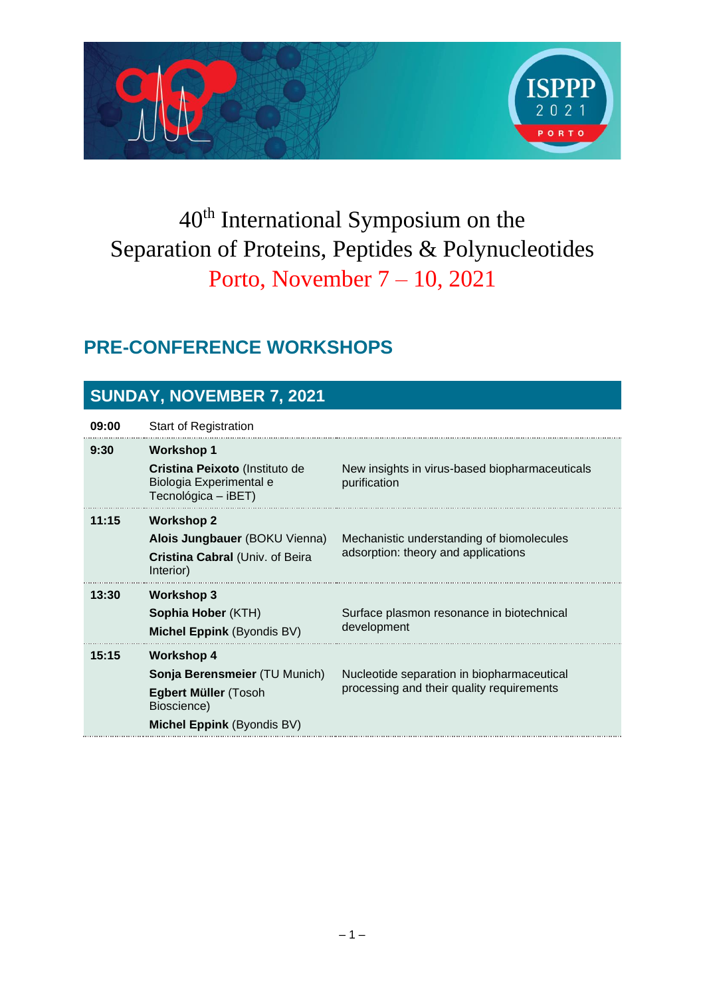

# 40th International Symposium on the Separation of Proteins, Peptides & Polynucleotides Porto, November 7 – 10, 2021

### **PRE-CONFERENCE WORKSHOPS**

#### **SUNDAY, NOVEMBER 7, 2021**

| 09:00 | <b>Start of Registration</b>                                                                                            |                                                                                         |
|-------|-------------------------------------------------------------------------------------------------------------------------|-----------------------------------------------------------------------------------------|
| 9:30  | <b>Workshop 1</b><br>Cristina Peixoto (Instituto de<br>Biologia Experimental e<br>Tecnológica – iBET)                   | New insights in virus-based biopharmaceuticals<br>purification                          |
| 11:15 | <b>Workshop 2</b><br>Alois Jungbauer (BOKU Vienna)<br>Cristina Cabral (Univ. of Beira<br>Interior)                      | Mechanistic understanding of biomolecules<br>adsorption: theory and applications        |
| 13:30 | Workshop 3<br>Sophia Hober (KTH)<br><b>Michel Eppink (Byondis BV)</b>                                                   | Surface plasmon resonance in biotechnical<br>development                                |
| 15:15 | <b>Workshop 4</b><br>Sonja Berensmeier (TU Munich)<br>Egbert Müller (Tosoh<br>Bioscience)<br>Michel Eppink (Byondis BV) | Nucleotide separation in biopharmaceutical<br>processing and their quality requirements |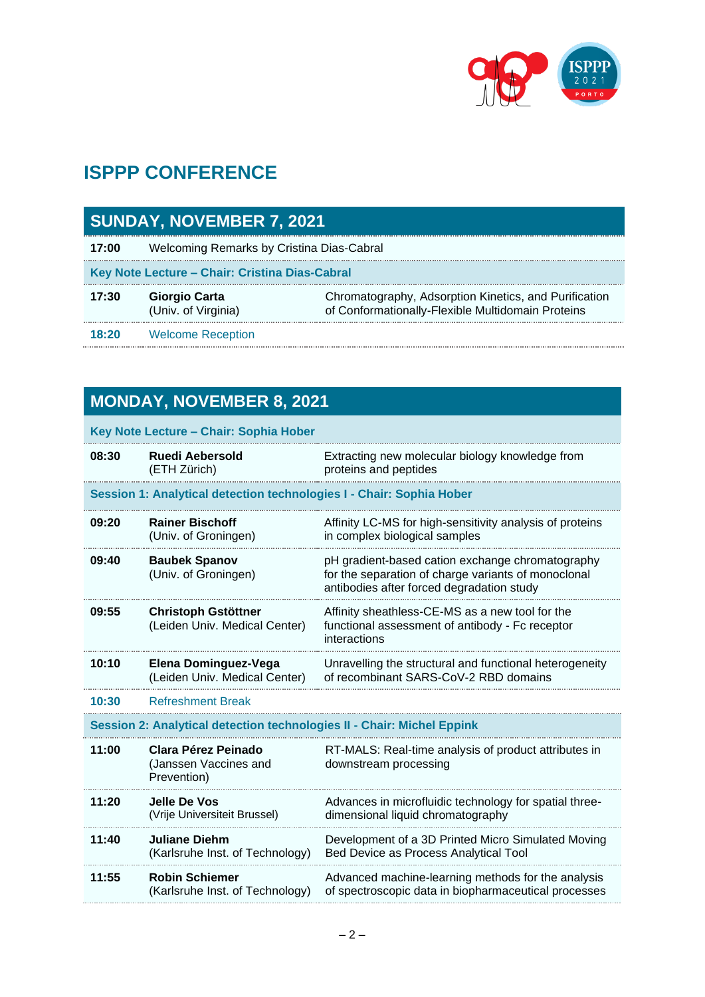

### **ISPPP CONFERENCE**

| <b>SUNDAY, NOVEMBER 7, 2021</b>                |                                             |                                                                                                            |  |
|------------------------------------------------|---------------------------------------------|------------------------------------------------------------------------------------------------------------|--|
| 17:00                                          | Welcoming Remarks by Cristina Dias-Cabral   |                                                                                                            |  |
| Key Note Lecture - Chair: Cristina Dias-Cabral |                                             |                                                                                                            |  |
| 17:30                                          | <b>Giorgio Carta</b><br>(Univ. of Virginia) | Chromatography, Adsorption Kinetics, and Purification<br>of Conformationally-Flexible Multidomain Proteins |  |
| 18:20                                          | <b>Welcome Reception</b>                    |                                                                                                            |  |

## **MONDAY, NOVEMBER 8, 2021**

| Key Note Lecture - Chair: Sophia Hober |                                                                        |                                                                                                                                                      |
|----------------------------------------|------------------------------------------------------------------------|------------------------------------------------------------------------------------------------------------------------------------------------------|
| 08:30                                  | Ruedi Aebersold<br>(ETH Zürich)                                        | Extracting new molecular biology knowledge from<br>proteins and peptides                                                                             |
|                                        | Session 1: Analytical detection technologies I - Chair: Sophia Hober   |                                                                                                                                                      |
| 09:20                                  | <b>Rainer Bischoff</b><br>(Univ. of Groningen)                         | Affinity LC-MS for high-sensitivity analysis of proteins<br>in complex biological samples                                                            |
| 09:40                                  | <b>Baubek Spanov</b><br>(Univ. of Groningen)                           | pH gradient-based cation exchange chromatography<br>for the separation of charge variants of monoclonal<br>antibodies after forced degradation study |
| 09:55                                  | <b>Christoph Gstöttner</b><br>(Leiden Univ. Medical Center)            | Affinity sheathless-CE-MS as a new tool for the<br>functional assessment of antibody - Fc receptor<br>interactions                                   |
| 10:10                                  | Elena Dominguez-Vega<br>(Leiden Univ. Medical Center)                  | Unravelling the structural and functional heterogeneity<br>of recombinant SARS-CoV-2 RBD domains                                                     |
| 10:30                                  | <b>Refreshment Break</b>                                               |                                                                                                                                                      |
|                                        | Session 2: Analytical detection technologies II - Chair: Michel Eppink |                                                                                                                                                      |
| 11:00                                  | Clara Pérez Peinado<br>(Janssen Vaccines and<br>Prevention)            | RT-MALS: Real-time analysis of product attributes in<br>downstream processing                                                                        |
| 11:20                                  | Jelle De Vos<br>(Vrije Universiteit Brussel)                           | Advances in microfluidic technology for spatial three-<br>dimensional liquid chromatography                                                          |
| 11:40                                  | <b>Juliane Diehm</b><br>(Karlsruhe Inst. of Technology)                | Development of a 3D Printed Micro Simulated Moving<br>Bed Device as Process Analytical Tool                                                          |
| 11:55                                  | <b>Robin Schiemer</b><br>(Karlsruhe Inst. of Technology)               | Advanced machine-learning methods for the analysis<br>of spectroscopic data in biopharmaceutical processes                                           |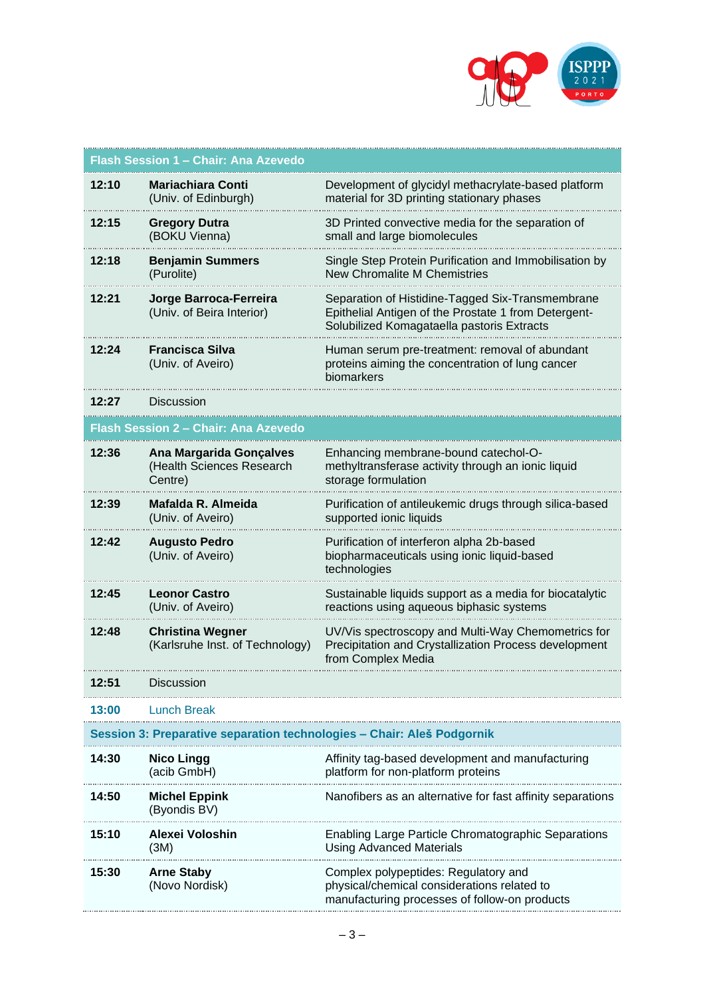

|       | Flash Session 1 - Chair: Ana Azevedo                                   |                                                                                                                                                        |
|-------|------------------------------------------------------------------------|--------------------------------------------------------------------------------------------------------------------------------------------------------|
| 12:10 | Mariachiara Conti<br>(Univ. of Edinburgh)                              | Development of glycidyl methacrylate-based platform<br>material for 3D printing stationary phases                                                      |
| 12:15 | <b>Gregory Dutra</b><br>(BOKU Vienna)                                  | 3D Printed convective media for the separation of<br>small and large biomolecules                                                                      |
| 12:18 | <b>Benjamin Summers</b><br>(Purolite)                                  | Single Step Protein Purification and Immobilisation by<br><b>New Chromalite M Chemistries</b>                                                          |
| 12:21 | Jorge Barroca-Ferreira<br>(Univ. of Beira Interior)                    | Separation of Histidine-Tagged Six-Transmembrane<br>Epithelial Antigen of the Prostate 1 from Detergent-<br>Solubilized Komagataella pastoris Extracts |
| 12:24 | <b>Francisca Silva</b><br>(Univ. of Aveiro)                            | Human serum pre-treatment: removal of abundant<br>proteins aiming the concentration of lung cancer<br>biomarkers                                       |
| 12:27 | <b>Discussion</b>                                                      |                                                                                                                                                        |
|       | Flash Session 2 - Chair: Ana Azevedo                                   |                                                                                                                                                        |
| 12:36 | <b>Ana Margarida Gonçalves</b><br>(Health Sciences Research<br>Centre) | Enhancing membrane-bound catechol-O-<br>methyltransferase activity through an ionic liquid<br>storage formulation                                      |
| 12:39 | Mafalda R. Almeida<br>(Univ. of Aveiro)                                | Purification of antileukemic drugs through silica-based<br>supported ionic liquids                                                                     |
| 12:42 | <b>Augusto Pedro</b><br>(Univ. of Aveiro)                              | Purification of interferon alpha 2b-based<br>biopharmaceuticals using ionic liquid-based<br>technologies                                               |
| 12:45 | <b>Leonor Castro</b><br>(Univ. of Aveiro)                              | Sustainable liquids support as a media for biocatalytic<br>reactions using aqueous biphasic systems                                                    |
| 12:48 | <b>Christina Wegner</b><br>(Karlsruhe Inst. of Technology)             | UV/Vis spectroscopy and Multi-Way Chemometrics for<br>Precipitation and Crystallization Process development<br>from Complex Media                      |
| 12:51 | Discussion                                                             |                                                                                                                                                        |
| 13:00 | Lunch Break                                                            |                                                                                                                                                        |
|       | Session 3: Preparative separation technologies – Chair: Aleš Podgornik |                                                                                                                                                        |
| 14:30 | <b>Nico Lingg</b><br>(acib GmbH)                                       | Affinity tag-based development and manufacturing<br>platform for non-platform proteins                                                                 |
| 14:50 | <b>Michel Eppink</b><br>(Byondis BV)                                   | Nanofibers as an alternative for fast affinity separations                                                                                             |
| 15:10 | Alexei Voloshin<br>(3M)                                                | Enabling Large Particle Chromatographic Separations<br><b>Using Advanced Materials</b>                                                                 |
| 15:30 | <b>Arne Staby</b><br>(Novo Nordisk)                                    | Complex polypeptides: Regulatory and<br>physical/chemical considerations related to<br>manufacturing processes of follow-on products                   |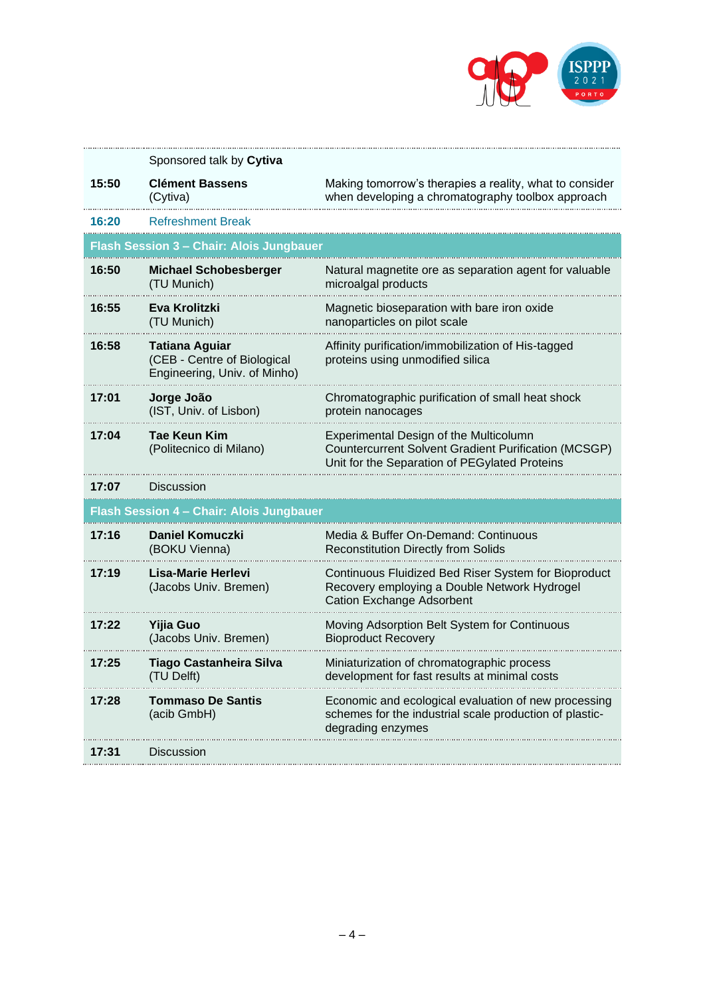

|       | Sponsored talk by Cytiva                                                      |                                                                                                                                                        |
|-------|-------------------------------------------------------------------------------|--------------------------------------------------------------------------------------------------------------------------------------------------------|
| 15:50 | <b>Clément Bassens</b><br>(Cytiva)                                            | Making tomorrow's therapies a reality, what to consider<br>when developing a chromatography toolbox approach                                           |
| 16:20 | <b>Refreshment Break</b>                                                      |                                                                                                                                                        |
|       | <b>Flash Session 3 - Chair: Alois Jungbauer</b>                               |                                                                                                                                                        |
| 16:50 | <b>Michael Schobesberger</b><br>(TU Munich)                                   | Natural magnetite ore as separation agent for valuable<br>microalgal products                                                                          |
| 16:55 | Eva Krolitzki<br>(TU Munich)                                                  | Magnetic bioseparation with bare iron oxide<br>nanoparticles on pilot scale                                                                            |
| 16:58 | Tatiana Aquiar<br>(CEB - Centre of Biological<br>Engineering, Univ. of Minho) | Affinity purification/immobilization of His-tagged<br>proteins using unmodified silica                                                                 |
| 17:01 | Jorge João<br>(IST, Univ. of Lisbon)                                          | Chromatographic purification of small heat shock<br>protein nanocages                                                                                  |
| 17:04 | Tae Keun Kim<br>(Politecnico di Milano)                                       | Experimental Design of the Multicolumn<br><b>Countercurrent Solvent Gradient Purification (MCSGP)</b><br>Unit for the Separation of PEGylated Proteins |
| 17:07 | Discussion                                                                    |                                                                                                                                                        |
|       | Flash Session 4 - Chair: Alois Jungbauer                                      |                                                                                                                                                        |
| 17:16 | <b>Daniel Komuczki</b><br>(BOKU Vienna)                                       | Media & Buffer On-Demand: Continuous<br><b>Reconstitution Directly from Solids</b>                                                                     |
| 17:19 | Lisa-Marie Herlevi<br>(Jacobs Univ. Bremen)                                   | Continuous Fluidized Bed Riser System for Bioproduct<br>Recovery employing a Double Network Hydrogel<br><b>Cation Exchange Adsorbent</b>               |
| 17:22 | <b>Yijia Guo</b><br>(Jacobs Univ. Bremen)                                     | Moving Adsorption Belt System for Continuous<br><b>Bioproduct Recovery</b>                                                                             |
| 17:25 | <b>Tiago Castanheira Silva</b><br>(TU Delft)                                  | Miniaturization of chromatographic process<br>development for fast results at minimal costs                                                            |
| 17:28 | <b>Tommaso De Santis</b><br>(acib GmbH)                                       | Economic and ecological evaluation of new processing<br>schemes for the industrial scale production of plastic-<br>dearadina enzvmes                   |
| 17:31 | Discussion                                                                    |                                                                                                                                                        |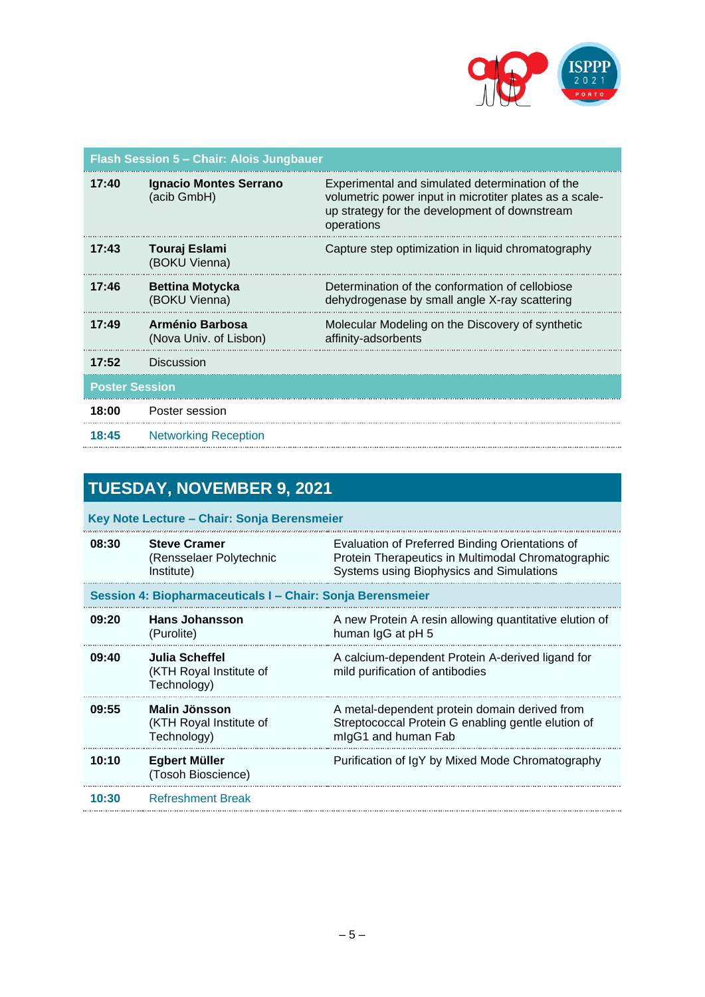

| Flash Session 5 - Chair: Alois Jungbauer |                                              |                                                                                                                                                                           |
|------------------------------------------|----------------------------------------------|---------------------------------------------------------------------------------------------------------------------------------------------------------------------------|
| 17:40                                    | <b>Ignacio Montes Serrano</b><br>(acib GmbH) | Experimental and simulated determination of the<br>volumetric power input in microtiter plates as a scale-<br>up strategy for the development of downstream<br>operations |
| 17:43                                    | Touraj Eslami<br>(BOKU Vienna)               | Capture step optimization in liquid chromatography                                                                                                                        |
| 17:46                                    | <b>Bettina Motycka</b><br>(BOKU Vienna)      | Determination of the conformation of cellobiose<br>dehydrogenase by small angle X-ray scattering                                                                          |
| 17:49                                    | Arménio Barbosa<br>(Nova Univ. of Lisbon)    | Molecular Modeling on the Discovery of synthetic<br>affinity-adsorbents                                                                                                   |
| 17:52                                    | Discussion                                   |                                                                                                                                                                           |
| <b>Poster Session</b>                    |                                              |                                                                                                                                                                           |
| 18:00                                    | Poster session                               |                                                                                                                                                                           |
| 18:45                                    | <b>Networking Reception</b>                  |                                                                                                                                                                           |

### **TUESDAY, NOVEMBER 9, 2021**

**Key Note Lecture – Chair: Sonja Berensmeier**

| 08:30 | <b>Steve Cramer</b><br>(Rensselaer Polytechnic<br>Institute) | Evaluation of Preferred Binding Orientations of<br>Protein Therapeutics in Multimodal Chromatographic<br>Systems using Biophysics and Simulations |
|-------|--------------------------------------------------------------|---------------------------------------------------------------------------------------------------------------------------------------------------|
|       | Session 4: Biopharmaceuticals I – Chair: Sonja Berensmeier   |                                                                                                                                                   |
| 09:20 | <b>Hans Johansson</b><br>(Purolite)                          | A new Protein A resin allowing quantitative elution of<br>human IgG at pH 5                                                                       |
| 09:40 | Julia Scheffel<br>(KTH Royal Institute of<br>Technology)     | A calcium-dependent Protein A-derived ligand for<br>mild purification of antibodies                                                               |
| 09:55 | Malin Jönsson<br>(KTH Royal Institute of<br>Technology)      | A metal-dependent protein domain derived from<br>Streptococcal Protein G enabling gentle elution of<br>migG1 and human Fab                        |
| 10:10 | Egbert Müller<br>(Tosoh Bioscience)                          | Purification of IgY by Mixed Mode Chromatography                                                                                                  |
| 10:30 | <b>Refreshment Break</b>                                     |                                                                                                                                                   |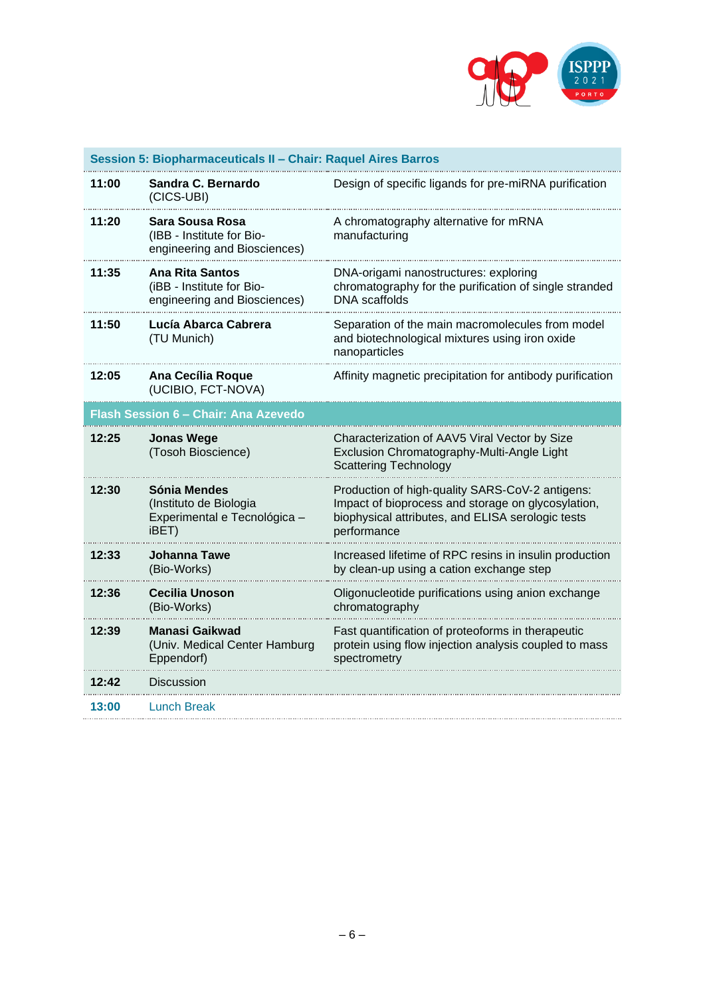

| Session 5: Biopharmaceuticals II - Chair: Raquel Aires Barros |                                                                                 |                                                                                                                                                                           |
|---------------------------------------------------------------|---------------------------------------------------------------------------------|---------------------------------------------------------------------------------------------------------------------------------------------------------------------------|
| 11:00                                                         | Sandra C. Bernardo<br>(CICS-UBI)                                                | Design of specific ligands for pre-miRNA purification                                                                                                                     |
| 11:20                                                         | Sara Sousa Rosa<br>(IBB - Institute for Bio-<br>engineering and Biosciences)    | A chromatography alternative for mRNA<br>manufacturing                                                                                                                    |
| 11:35                                                         | Ana Rita Santos<br>(iBB - Institute for Bio-<br>engineering and Biosciences)    | DNA-origami nanostructures: exploring<br>chromatography for the purification of single stranded<br><b>DNA</b> scaffolds                                                   |
| 11:50                                                         | Lucía Abarca Cabrera<br>(TU Munich)                                             | Separation of the main macromolecules from model<br>and biotechnological mixtures using iron oxide<br>nanoparticles                                                       |
| 12:05                                                         | Ana Cecília Roque<br>(UCIBIO, FCT-NOVA)                                         | Affinity magnetic precipitation for antibody purification                                                                                                                 |
| <u> Flash Session 6 – Chair: Ana Azevedo</u>                  |                                                                                 |                                                                                                                                                                           |
| 12:25                                                         |                                                                                 |                                                                                                                                                                           |
|                                                               | <b>Jonas Wege</b><br>(Tosoh Bioscience)                                         | Characterization of AAV5 Viral Vector by Size<br>Exclusion Chromatography-Multi-Angle Light<br><b>Scattering Technology</b>                                               |
| 12:30                                                         | Sónia Mendes<br>(Instituto de Biologia<br>Experimental e Tecnológica -<br>iBET) | Production of high-quality SARS-CoV-2 antigens:<br>Impact of bioprocess and storage on glycosylation,<br>biophysical attributes, and ELISA serologic tests<br>performance |
| 12:33                                                         | Johanna Tawe<br>(Bio-Works)                                                     | Increased lifetime of RPC resins in insulin production<br>by clean-up using a cation exchange step                                                                        |
| 12:36                                                         | <b>Cecilia Unoson</b><br>(Bio-Works)                                            | Oligonucleotide purifications using anion exchange<br>chromatography                                                                                                      |
| 12:39                                                         | Manasi Gaikwad<br>(Univ. Medical Center Hamburg<br>Eppendorf)                   | Fast quantification of proteoforms in therapeutic<br>protein using flow injection analysis coupled to mass<br>spectrometry                                                |
| 12:42                                                         | Discussion                                                                      |                                                                                                                                                                           |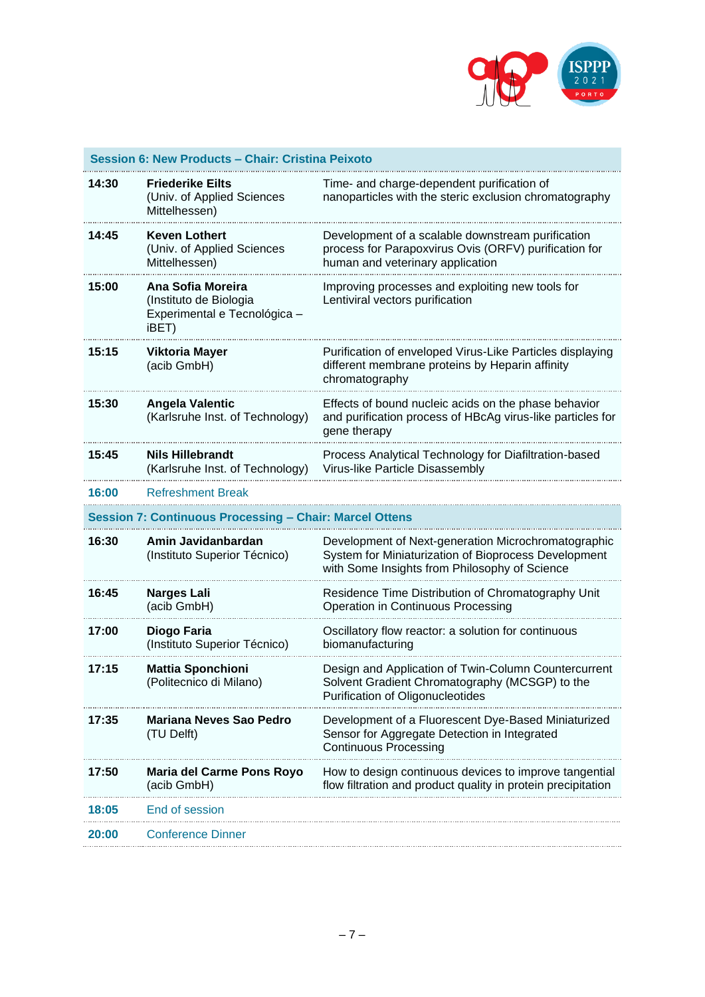

| Session 6: New Products - Chair: Cristina Peixoto |                                                                                      |                                                                                                                                                              |
|---------------------------------------------------|--------------------------------------------------------------------------------------|--------------------------------------------------------------------------------------------------------------------------------------------------------------|
| 14:30                                             | <b>Friederike Eilts</b><br>(Univ. of Applied Sciences<br>Mittelhessen)               | Time- and charge-dependent purification of<br>nanoparticles with the steric exclusion chromatography                                                         |
| 14:45                                             | <b>Keven Lothert</b><br>(Univ. of Applied Sciences<br>Mittelhessen)                  | Development of a scalable downstream purification<br>process for Parapoxvirus Ovis (ORFV) purification for<br>human and veterinary application               |
| 15:00                                             | Ana Sofia Moreira<br>(Instituto de Biologia<br>Experimental e Tecnológica -<br>iBET) | Improving processes and exploiting new tools for<br>Lentiviral vectors purification                                                                          |
| 15:15                                             | Viktoria Mayer<br>(acib GmbH)                                                        | Purification of enveloped Virus-Like Particles displaying<br>different membrane proteins by Heparin affinity<br>chromatography                               |
| 15:30                                             | <b>Angela Valentic</b><br>(Karlsruhe Inst. of Technology)                            | Effects of bound nucleic acids on the phase behavior<br>and purification process of HBcAg virus-like particles for<br>gene therapy                           |
| 15:45                                             | <b>Nils Hillebrandt</b><br>(Karlsruhe Inst. of Technology)                           | Process Analytical Technology for Diafiltration-based<br>Virus-like Particle Disassembly                                                                     |
| 16:00                                             | <b>Refreshment Break</b>                                                             |                                                                                                                                                              |
|                                                   | Session 7: Continuous Processing – Chair: Marcel Ottens                              |                                                                                                                                                              |
| 16:30                                             | Amin Javidanbardan<br>(Instituto Superior Técnico)                                   | Development of Next-generation Microchromatographic<br>System for Miniaturization of Bioprocess Development<br>with Some Insights from Philosophy of Science |
| 16:45                                             | <b>Narges Lali</b><br>(acib GmbH)                                                    | Residence Time Distribution of Chromatography Unit<br>Operation in Continuous Processing                                                                     |
| 17:00                                             | Diogo Faria<br>(Instituto Superior Técnico)                                          | Oscillatory flow reactor: a solution for continuous<br>biomanufacturing                                                                                      |
| 17:15                                             | <b>Mattia Sponchioni</b><br>(Politecnico di Milano)                                  | Design and Application of Twin-Column Countercurrent<br>Solvent Gradient Chromatography (MCSGP) to the<br>Purification of Oligonucleotides                   |
| 17:35                                             | Mariana Neves Sao Pedro<br>(TU Delft)                                                | Development of a Fluorescent Dye-Based Miniaturized<br>Sensor for Aggregate Detection in Integrated<br><b>Continuous Processing</b>                          |
| 17:50                                             | Maria del Carme Pons Royo<br>(acib GmbH)                                             | How to design continuous devices to improve tangential<br>flow filtration and product quality in protein precipitation                                       |
| 18:05                                             | End of session                                                                       |                                                                                                                                                              |
| 20:00                                             | <b>Conference Dinner</b>                                                             |                                                                                                                                                              |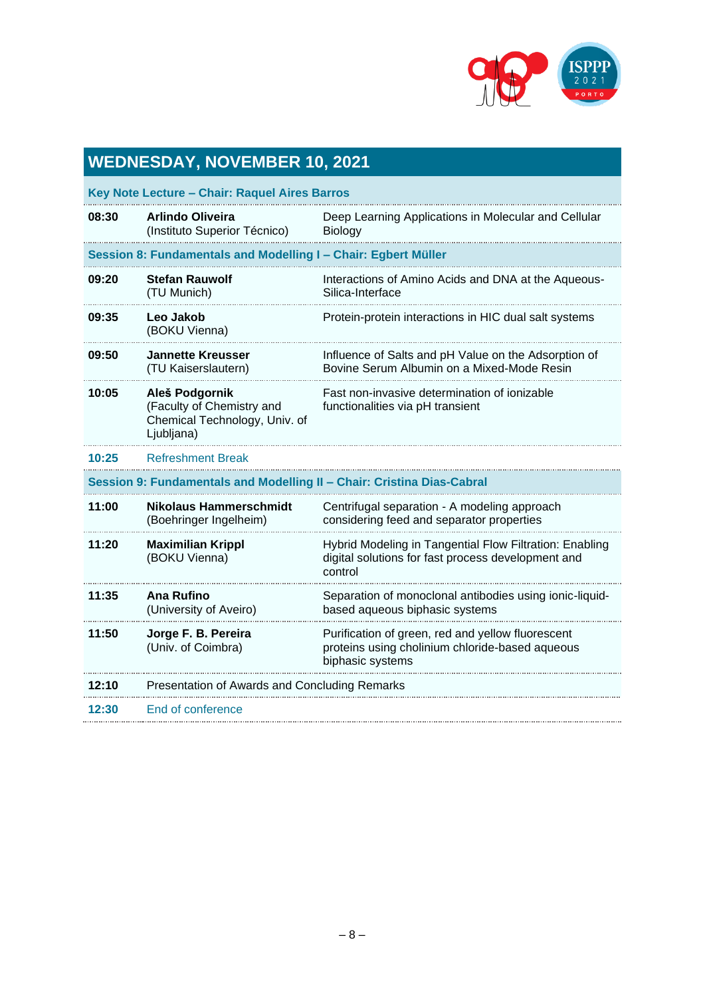

## **WEDNESDAY, NOVEMBER 10, 2021**

| 08:30                                                                  | <b>Arlindo Oliveira</b><br>(Instituto Superior Técnico)                                    | Deep Learning Applications in Molecular and Cellular<br>Biology                                                          |
|------------------------------------------------------------------------|--------------------------------------------------------------------------------------------|--------------------------------------------------------------------------------------------------------------------------|
| Session 8: Fundamentals and Modelling I - Chair: Egbert Mülle          |                                                                                            |                                                                                                                          |
| 09:20                                                                  | <b>Stefan Rauwolf</b><br>(TU Munich)                                                       | Interactions of Amino Acids and DNA at the Aqueous-<br>Silica-Interface                                                  |
| 09:35                                                                  | Leo Jakob<br>(BOKU Vienna)                                                                 | Protein-protein interactions in HIC dual salt systems                                                                    |
| 09:50                                                                  | <b>Jannette Kreusser</b><br>(TU Kaiserslautern)                                            | Influence of Salts and pH Value on the Adsorption of<br>Bovine Serum Albumin on a Mixed-Mode Resin                       |
| 10:05                                                                  | Aleš Podgornik<br>(Faculty of Chemistry and<br>Chemical Technology, Univ. of<br>Ljubljana) | Fast non-invasive determination of ionizable<br>functionalities via pH transient                                         |
| 10:25                                                                  | <b>Refreshment Break</b>                                                                   |                                                                                                                          |
| Session 9: Fundamentals and Modelling II - Chair: Cristina Dias-Cabral |                                                                                            |                                                                                                                          |
| 11:00                                                                  | Nikolaus Hammerschmidt<br>(Boehringer Ingelheim)                                           | Centrifugal separation - A modeling approach<br>considering feed and separator properties                                |
| 11:20                                                                  | <b>Maximilian Krippl</b><br>(BOKU Vienna)                                                  | Hybrid Modeling in Tangential Flow Filtration: Enabling<br>digital solutions for fast process development and<br>control |
| 11:35                                                                  | Ana Rufino<br>(University of Aveiro)                                                       | Separation of monoclonal antibodies using ionic-liquid-<br>based aqueous biphasic systems                                |
| 11:50                                                                  | Jorge F. B. Pereira<br>(Univ. of Coimbra)                                                  | Purification of green, red and yellow fluorescent<br>proteins using cholinium chloride-based aqueous<br>biphasic systems |
| 12:10                                                                  | Presentation of Awards and Concluding Remarks                                              |                                                                                                                          |
| 12:30                                                                  | End of conference                                                                          |                                                                                                                          |